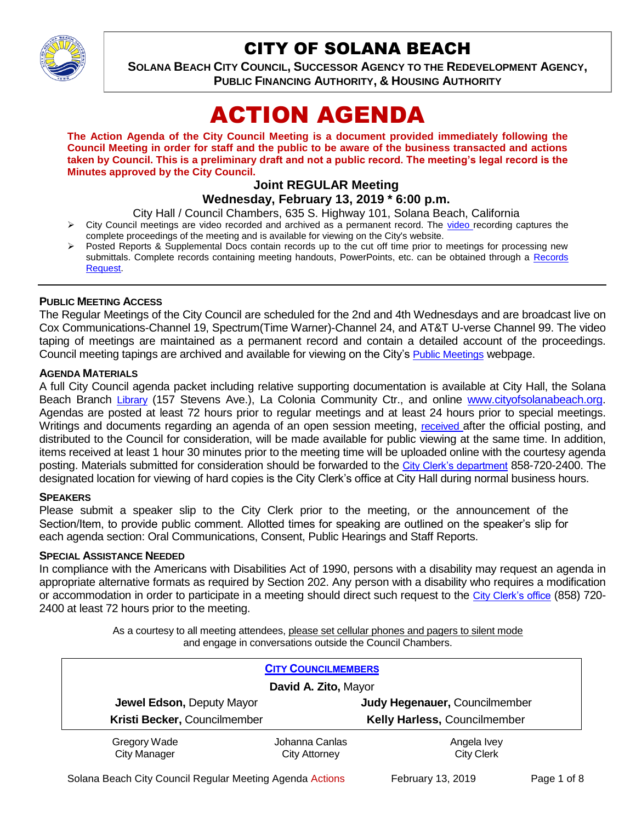

# CITY OF SOLANA BEACH

**SOLANA BEACH CITY COUNCIL, SUCCESSOR AGENCY TO THE REDEVELOPMENT AGENCY, PUBLIC FINANCING AUTHORITY, & HOUSING AUTHORITY** 

# ACTION AGENDA

**The Action Agenda of the City Council Meeting is a document provided immediately following the Council Meeting in order for staff and the public to be aware of the business transacted and actions taken by Council. This is a preliminary draft and not a public record. The meeting's legal record is the Minutes approved by the City Council.**

# **Joint REGULAR Meeting**

# **Wednesday, February 13, 2019 \* 6:00 p.m.**

City Hall / Council Chambers, 635 S. Highway 101, Solana Beach, California

- $\triangleright$  City Council meetings are [video r](https://solanabeach.12milesout.com/#page=1)ecorded and archived as a permanent record. The video recording captures the complete proceedings of the meeting and is available for viewing on the City's website.
- Posted Reports & Supplemental Docs contain records up to the cut off time prior to meetings for processing new submittals. Complete records containing meeting handouts, PowerPoints, etc. can be obtained through a Records [Request.](http://www.ci.solana-beach.ca.us/index.asp?SEC=F5D45D10-70CE-4291-A27C-7BD633FC6742&Type=B_BASIC)

# **PUBLIC MEETING ACCESS**

The Regular Meetings of the City Council are scheduled for the 2nd and 4th Wednesdays and are broadcast live on Cox Communications-Channel 19, Spectrum(Time Warner)-Channel 24, and AT&T U-verse Channel 99. The video taping of meetings are maintained as a permanent record and contain a detailed account of the proceedings. Council meeting tapings are archived and available for viewing on the City's **[Public Meetings](https://www.ci.solana-beach.ca.us/index.asp?SEC=F0F1200D-21C6-4A88-8AE1-0BC07C1A81A7&Type=B_BASIC)** webpage.

#### **AGENDA MATERIALS**

A full City Council agenda packet including relative supporting documentation is available at City Hall, the Solana Beach Branch [Library](http://www.sdcl.org/locations_SB.html) (157 Stevens Ave.), La Colonia Community Ctr., and online [www.cityofsolanabeach.org.](http://www.cityofsolanabeach.org/) Agendas are posted at least 72 hours prior to regular meetings and at least 24 hours prior to special meetings. Writings and documents regarding an agenda of an open session meeting, [received](mailto:EMAILGRP-CityClerksOfc@cosb.org) after the official posting, and distributed to the Council for consideration, will be made available for public viewing at the same time. In addition, items received at least 1 hour 30 minutes prior to the meeting time will be uploaded online with the courtesy agenda posting. Materials submitted for consideration should be forwarded to the [City Clerk's department](mailto:EMAILGRP-CityClerksOfc@cosb.org) 858-720-2400. The designated location for viewing of hard copies is the City Clerk's office at City Hall during normal business hours.

#### **SPEAKERS**

Please submit a speaker slip to the City Clerk prior to the meeting, or the announcement of the Section/Item, to provide public comment. Allotted times for speaking are outlined on the speaker's slip for each agenda section: Oral Communications, Consent, Public Hearings and Staff Reports.

#### **SPECIAL ASSISTANCE NEEDED**

In compliance with the Americans with Disabilities Act of 1990, persons with a disability may request an agenda in appropriate alternative formats as required by Section 202. Any person with a disability who requires a modification or accommodation in order to participate in a meeting should direct such request to the [City Clerk's office](mailto:clerkadmin@cosb.org?subject=City%20Clerk%20Notice%20of%20Special%20Services%20Needed) (858) 720- 2400 at least 72 hours prior to the meeting.

> As a courtesy to all meeting attendees, please set cellular phones and pagers to silent mode and engage in conversations outside the Council Chambers.

| <b>CITY COUNCILMEMBERS</b><br>David A. Zito, Mayor |                      |                              |
|----------------------------------------------------|----------------------|------------------------------|
|                                                    |                      |                              |
| Kristi Becker, Councilmember                       |                      | Kelly Harless, Councilmember |
| Gregory Wade                                       | Johanna Canlas       | Angela Ivey                  |
| <b>City Manager</b>                                | <b>City Attorney</b> | <b>City Clerk</b>            |

Solana Beach City Council Regular Meeting Agenda Actions February 13, 2019 Page 1 of 8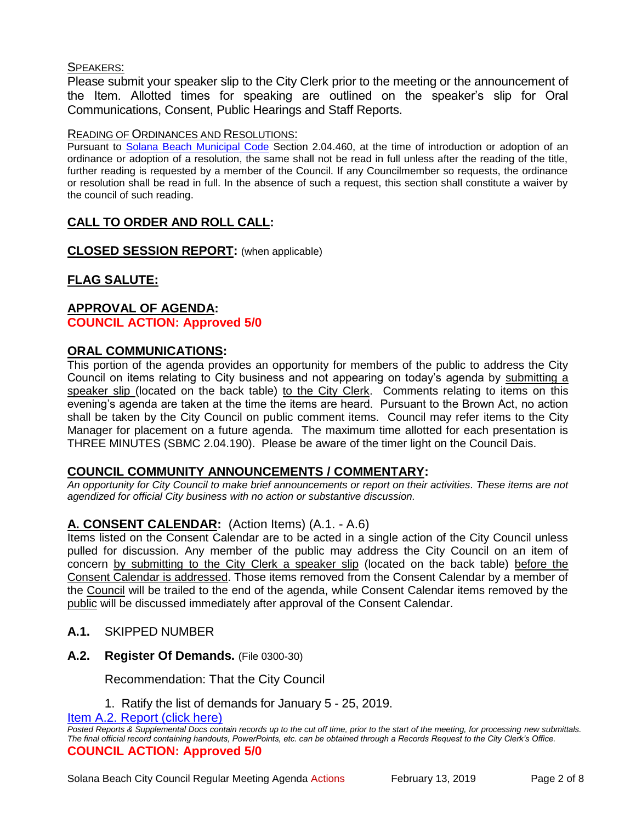# SPEAKERS:

Please submit your speaker slip to the City Clerk prior to the meeting or the announcement of the Item. Allotted times for speaking are outlined on the speaker's slip for Oral Communications, Consent, Public Hearings and Staff Reports.

#### READING OF ORDINANCES AND RESOLUTIONS:

Pursuant to [Solana Beach Municipal Code](mailto:https://www.codepublishing.com/CA/SolanaBeach/) Section 2.04.460, at the time of introduction or adoption of an ordinance or adoption of a resolution, the same shall not be read in full unless after the reading of the title, further reading is requested by a member of the Council. If any Councilmember so requests, the ordinance or resolution shall be read in full. In the absence of such a request, this section shall constitute a waiver by the council of such reading.

# **CALL TO ORDER AND ROLL CALL:**

**CLOSED SESSION REPORT:** (when applicable)

# **FLAG SALUTE:**

# **APPROVAL OF AGENDA: COUNCIL ACTION: Approved 5/0**

# **ORAL COMMUNICATIONS:**

This portion of the agenda provides an opportunity for members of the public to address the City Council on items relating to City business and not appearing on today's agenda by submitting a speaker slip (located on the back table) to the City Clerk. Comments relating to items on this evening's agenda are taken at the time the items are heard. Pursuant to the Brown Act, no action shall be taken by the City Council on public comment items. Council may refer items to the City Manager for placement on a future agenda. The maximum time allotted for each presentation is THREE MINUTES (SBMC 2.04.190). Please be aware of the timer light on the Council Dais.

# **COUNCIL COMMUNITY ANNOUNCEMENTS / COMMENTARY:**

*An opportunity for City Council to make brief announcements or report on their activities. These items are not agendized for official City business with no action or substantive discussion.* 

# **A. CONSENT CALENDAR:** (Action Items) (A.1. - A.6)

Items listed on the Consent Calendar are to be acted in a single action of the City Council unless pulled for discussion. Any member of the public may address the City Council on an item of concern by submitting to the City Clerk a speaker slip (located on the back table) before the Consent Calendar is addressed. Those items removed from the Consent Calendar by a member of the Council will be trailed to the end of the agenda, while Consent Calendar items removed by the public will be discussed immediately after approval of the Consent Calendar.

- **A.1.** SKIPPED NUMBER
- **A.2. Register Of Demands.** (File 0300-30)

Recommendation: That the City Council

1. Ratify the list of demands for January 5 - 25, 2019.

[Item A.2. Report \(click here\)](https://solanabeach.govoffice3.com/vertical/Sites/%7B840804C2-F869-4904-9AE3-720581350CE7%7D/uploads/Item_A.2._Report_(click_here)_02-13-19.PDF) 

*Posted Reports & Supplemental Docs contain records up to the cut off time, prior to the start of the meeting, for processing new submittals. The final official record containing handouts, PowerPoints, etc. can be obtained through a Records Request to the City Clerk's Office.* **COUNCIL ACTION: Approved 5/0**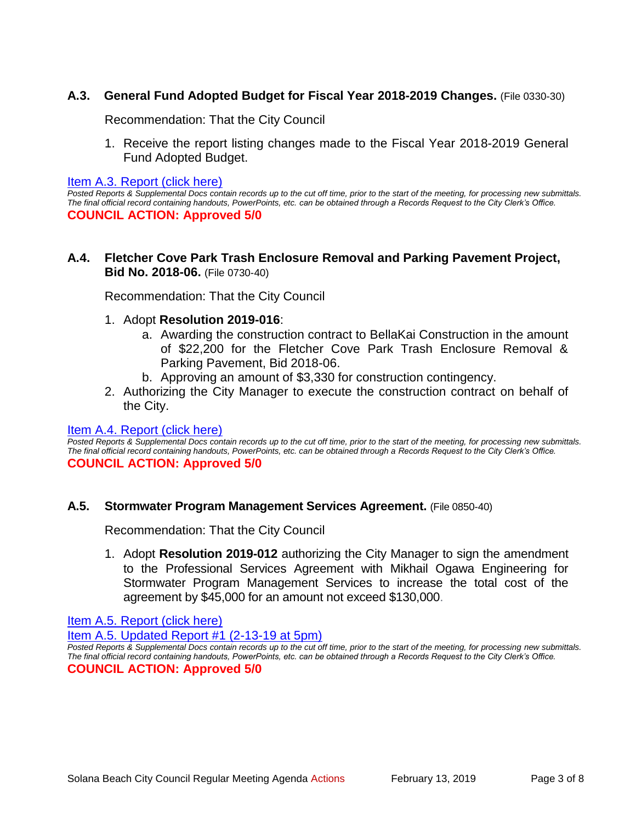# **A.3. General Fund Adopted Budget for Fiscal Year 2018-2019 Changes.** (File 0330-30)

Recommendation: That the City Council

1. Receive the report listing changes made to the Fiscal Year 2018-2019 General Fund Adopted Budget.

Item A.3. Report (click here)

*Posted Reports & Supplemental Docs contain records up to the cut off time, prior to the start of the meeting, for processing new submittals. The final official record containing handouts, PowerPoints, etc. can be obtained through a Records Request to the City Clerk's Office.* **COUNCIL ACTION: Approved 5/0**

## **A.4. Fletcher Cove Park Trash Enclosure Removal and Parking Pavement Project, Bid No. 2018-06.** (File 0730-40)

Recommendation: That the City Council

#### 1. Adopt **Resolution 2019-016**:

- a. Awarding the construction contract to BellaKai Construction in the amount of \$22,200 for the Fletcher Cove Park Trash Enclosure Removal & Parking Pavement, Bid 2018-06.
- b. Approving an amount of \$3,330 for construction contingency.
- 2. Authorizing the City Manager to execute the construction contract on behalf of the City.

#### [Item A.4. Report \(click here\)](https://solanabeach.govoffice3.com/vertical/Sites/%7B840804C2-F869-4904-9AE3-720581350CE7%7D/uploads/Item_A.4._Report_(click_here)_02-13-19.PDF)

*Posted Reports & Supplemental Docs contain records up to the cut off time, prior to the start of the meeting, for processing new submittals. The final official record containing handouts, PowerPoints, etc. can be obtained through a Records Request to the City Clerk's Office.* **COUNCIL ACTION: Approved 5/0**

#### **A.5. Stormwater Program Management Services Agreement.** (File 0850-40)

Recommendation: That the City Council

1. Adopt **Resolution 2019-012** authorizing the City Manager to sign the amendment to the Professional Services Agreement with Mikhail Ogawa Engineering for Stormwater Program Management Services to increase the total cost of the agreement by \$45,000 for an amount not exceed \$130,000.

[Item A.5. Report \(click here\)](https://solanabeach.govoffice3.com/vertical/Sites/%7B840804C2-F869-4904-9AE3-720581350CE7%7D/uploads/Item_A.5._Report_(click_here)_02-13-19.PDF) 

[Item A.5. Updated Report #1 \(2-13-19 at 5pm\)](https://solanabeach.govoffice3.com/vertical/Sites/%7B840804C2-F869-4904-9AE3-720581350CE7%7D/uploads/A.5._Updated_Report_1_-_2-13-19.pdf)

*Posted Reports & Supplemental Docs contain records up to the cut off time, prior to the start of the meeting, for processing new submittals. The final official record containing handouts, PowerPoints, etc. can be obtained through a Records Request to the City Clerk's Office.* **COUNCIL ACTION: Approved 5/0**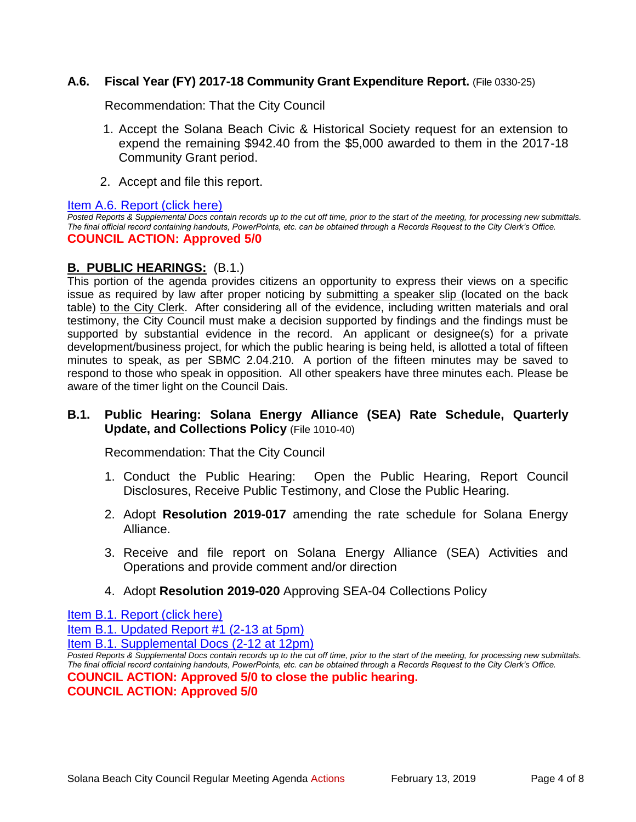# **A.6. Fiscal Year (FY) 2017-18 Community Grant Expenditure Report.** (File 0330-25)

Recommendation: That the City Council

- 1. Accept the Solana Beach Civic & Historical Society request for an extension to expend the remaining \$942.40 from the \$5,000 awarded to them in the 2017-18 Community Grant period.
- 2. Accept and file this report.

[Item A.6. Report \(click here\)](https://solanabeach.govoffice3.com/vertical/Sites/%7B840804C2-F869-4904-9AE3-720581350CE7%7D/uploads/Item_A.6._Report_(click_here)_02-13-19.PDF) 

*Posted Reports & Supplemental Docs contain records up to the cut off time, prior to the start of the meeting, for processing new submittals. The final official record containing handouts, PowerPoints, etc. can be obtained through a Records Request to the City Clerk's Office.* **COUNCIL ACTION: Approved 5/0**

# **B. PUBLIC HEARINGS:** (B.1.)

This portion of the agenda provides citizens an opportunity to express their views on a specific issue as required by law after proper noticing by submitting a speaker slip (located on the back table) to the City Clerk. After considering all of the evidence, including written materials and oral testimony, the City Council must make a decision supported by findings and the findings must be supported by substantial evidence in the record. An applicant or designee(s) for a private development/business project, for which the public hearing is being held, is allotted a total of fifteen minutes to speak, as per SBMC 2.04.210. A portion of the fifteen minutes may be saved to respond to those who speak in opposition. All other speakers have three minutes each. Please be aware of the timer light on the Council Dais.

# **B.1. Public Hearing: Solana Energy Alliance (SEA) Rate Schedule, Quarterly Update, and Collections Policy** (File 1010-40)

Recommendation: That the City Council

- 1. Conduct the Public Hearing: Open the Public Hearing, Report Council Disclosures, Receive Public Testimony, and Close the Public Hearing.
- 2. Adopt **Resolution 2019-017** amending the rate schedule for Solana Energy Alliance.
- 3. Receive and file report on Solana Energy Alliance (SEA) Activities and Operations and provide comment and/or direction
- 4. Adopt **Resolution 2019-020** Approving SEA-04 Collections Policy

[Item B.1. Report \(click here\)](https://solanabeach.govoffice3.com/vertical/Sites/%7B840804C2-F869-4904-9AE3-720581350CE7%7D/uploads/Item_B.1._Report_(click_here)_02-13-19.PDF) 

[Item B.1. Updated Report #1 \(2-13 at 5pm\)](https://solanabeach.govoffice3.com/vertical/Sites/%7B840804C2-F869-4904-9AE3-720581350CE7%7D/uploads/B.1._Updated_Report_1_(Updated_12-13_at_415pm).pdf)

[Item B.1. Supplemental Docs \(2-12 at 12pm\)](https://solanabeach.govoffice3.com/vertical/Sites/%7B840804C2-F869-4904-9AE3-720581350CE7%7D/uploads/B.1._Supplemental_Docs_(Updated_12-12_at_12pm).pdf)

**COUNCIL ACTION: Approved 5/0**

*Posted Reports & Supplemental Docs contain records up to the cut off time, prior to the start of the meeting, for processing new submittals. The final official record containing handouts, PowerPoints, etc. can be obtained through a Records Request to the City Clerk's Office.* **COUNCIL ACTION: Approved 5/0 to close the public hearing.**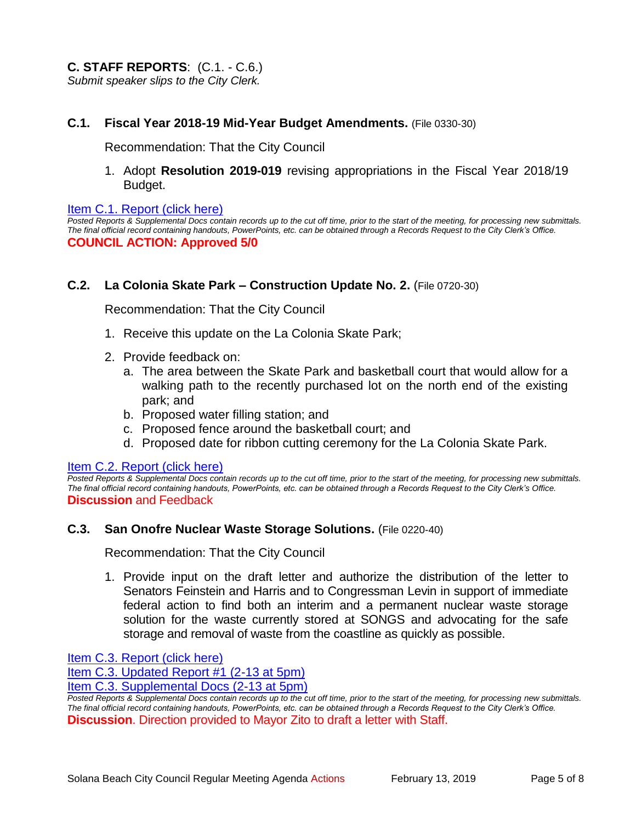## **C.1. Fiscal Year 2018-19 Mid-Year Budget Amendments.** (File 0330-30)

Recommendation: That the City Council

1. Adopt **Resolution 2019-019** revising appropriations in the Fiscal Year 2018/19 Budget.

#### [Item C.1. Report \(click here\)](https://solanabeach.govoffice3.com/vertical/Sites/%7B840804C2-F869-4904-9AE3-720581350CE7%7D/uploads/Item_C.1._Report_(click_here)_02-13-19.PDF)

*Posted Reports & Supplemental Docs contain records up to the cut off time, prior to the start of the meeting, for processing new submittals. The final official record containing handouts, PowerPoints, etc. can be obtained through a Records Request to the City Clerk's Office.* **COUNCIL ACTION: Approved 5/0**

#### **C.2. La Colonia Skate Park – Construction Update No. 2.** (File 0720-30)

Recommendation: That the City Council

- 1. Receive this update on the La Colonia Skate Park;
- 2. Provide feedback on:
	- a. The area between the Skate Park and basketball court that would allow for a walking path to the recently purchased lot on the north end of the existing park; and
	- b. Proposed water filling station; and
	- c. Proposed fence around the basketball court; and
	- d. Proposed date for ribbon cutting ceremony for the La Colonia Skate Park.

#### [Item C.2. Report \(click here\)](https://solanabeach.govoffice3.com/vertical/Sites/%7B840804C2-F869-4904-9AE3-720581350CE7%7D/uploads/Item_C.2._Report_(click_here)_02-13-19.PDF)

*Posted Reports & Supplemental Docs contain records up to the cut off time, prior to the start of the meeting, for processing new submittals. The final official record containing handouts, PowerPoints, etc. can be obtained through a Records Request to the City Clerk's Office.* **Discussion** and Feedback

#### **C.3. San Onofre Nuclear Waste Storage Solutions.** (File 0220-40)

Recommendation: That the City Council

1. Provide input on the draft letter and authorize the distribution of the letter to Senators Feinstein and Harris and to Congressman Levin in support of immediate federal action to find both an interim and a permanent nuclear waste storage solution for the waste currently stored at SONGS and advocating for the safe storage and removal of waste from the coastline as quickly as possible.

[Item C.3. Report \(click here\)](https://solanabeach.govoffice3.com/vertical/Sites/%7B840804C2-F869-4904-9AE3-720581350CE7%7D/uploads/Item_C.3._Report_(click_here)_02-13-19.PDF) 

[Item C.3. Updated Report #1 \(2-13 at 5pm\)](https://solanabeach.govoffice3.com/vertical/Sites/%7B840804C2-F869-4904-9AE3-720581350CE7%7D/uploads/C.3._Updated_Report_1_-_2-13-19.pdf)

[Item C.3. Supplemental Docs \(2-13](https://solanabeach.govoffice3.com/vertical/Sites/%7B840804C2-F869-4904-9AE3-720581350CE7%7D/uploads/C.3._Supplemental_Docs_(2-13_at_430pm).pdf) at 5pm)

*Posted Reports & Supplemental Docs contain records up to the cut off time, prior to the start of the meeting, for processing new submittals. The final official record containing handouts, PowerPoints, etc. can be obtained through a Records Request to the City Clerk's Office.* **Discussion**. Direction provided to Mayor Zito to draft a letter with Staff.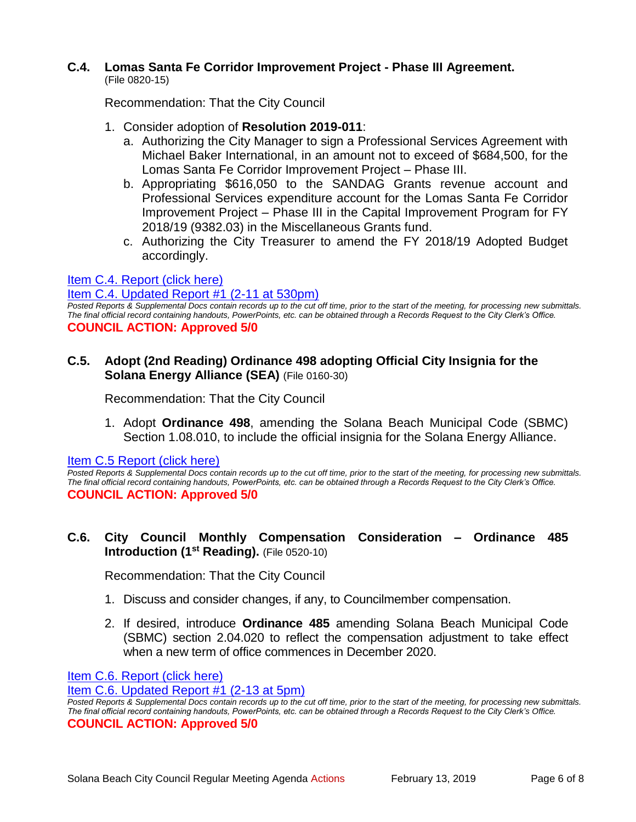# **C.4. Lomas Santa Fe Corridor Improvement Project - Phase III Agreement.**

(File 0820-15)

Recommendation: That the City Council

- 1. Consider adoption of **Resolution 2019-011**:
	- a. Authorizing the City Manager to sign a Professional Services Agreement with Michael Baker International, in an amount not to exceed of \$684,500, for the Lomas Santa Fe Corridor Improvement Project – Phase III.
	- b. Appropriating \$616,050 to the SANDAG Grants revenue account and Professional Services expenditure account for the Lomas Santa Fe Corridor Improvement Project – Phase III in the Capital Improvement Program for FY 2018/19 (9382.03) in the Miscellaneous Grants fund.
	- c. Authorizing the City Treasurer to amend the FY 2018/19 Adopted Budget accordingly.

# [Item C.4. Report \(click here\)](https://solanabeach.govoffice3.com/vertical/Sites/%7B840804C2-F869-4904-9AE3-720581350CE7%7D/uploads/Item_C.4._Report_(click_here)_02-13-19.PDF)

#### [Item C.4. Updated Report](https://solanabeach.govoffice3.com/vertical/Sites/%7B840804C2-F869-4904-9AE3-720581350CE7%7D/uploads/C.4._Staff_Report_Update_1.pdf) #1 (2-11 at 530pm)

Posted Reports & Supplemental Docs contain records up to the cut off time, prior to the start of the meeting, for processing new submittals. *The final official record containing handouts, PowerPoints, etc. can be obtained through a Records Request to the City Clerk's Office.* **COUNCIL ACTION: Approved 5/0**

**C.5. Adopt (2nd Reading) Ordinance 498 adopting Official City Insignia for the Solana Energy Alliance (SEA)** (File 0160-30)

Recommendation: That the City Council

1. Adopt **Ordinance 498**, amending the Solana Beach Municipal Code (SBMC) Section 1.08.010, to include the official insignia for the Solana Energy Alliance.

Item C.5 Report (click here)

*Posted Reports & Supplemental Docs contain records up to the cut off time, prior to the start of the meeting, for processing new submittals. The final official record containing handouts, PowerPoints, etc. can be obtained through a Records Request to the City Clerk's Office.* **COUNCIL ACTION: Approved 5/0**

# **C.6. City Council Monthly Compensation Consideration – Ordinance 485 Introduction (1st Reading).** (File 0520-10)

Recommendation: That the City Council

- 1. Discuss and consider changes, if any, to Councilmember compensation.
- 2. If desired, introduce **Ordinance 485** amending Solana Beach Municipal Code (SBMC) section 2.04.020 to reflect the compensation adjustment to take effect when a new term of office commences in December 2020.

Item C.6. [Report \(click here\)](https://solanabeach.govoffice3.com/vertical/Sites/%7B840804C2-F869-4904-9AE3-720581350CE7%7D/uploads/Item_C.6._Report_(click_here)_02-13-19.PDF) 

[Item C.6. Updated Report #1 \(2-13 at 5pm\)](https://solanabeach.govoffice3.com/vertical/Sites/%7B840804C2-F869-4904-9AE3-720581350CE7%7D/uploads/C.6._Updated_Report_1_-_2-13-19.pdf)

*Posted Reports & Supplemental Docs contain records up to the cut off time, prior to the start of the meeting, for processing new submittals. The final official record containing handouts, PowerPoints, etc. can be obtained through a Records Request to the City Clerk's Office.* **COUNCIL ACTION: Approved 5/0**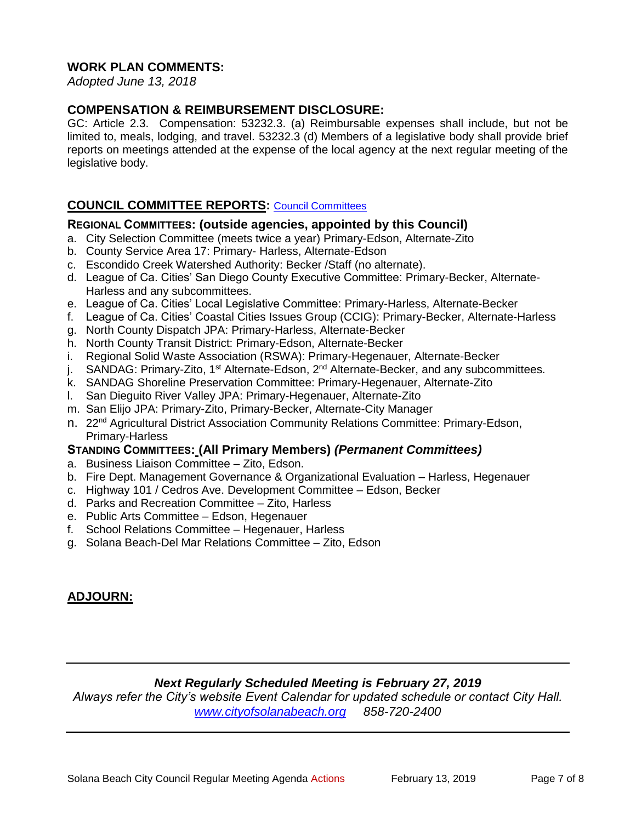# **WORK PLAN COMMENTS:**

*Adopted June 13, 2018*

# **COMPENSATION & REIMBURSEMENT DISCLOSURE:**

GC: Article 2.3. Compensation: 53232.3. (a) Reimbursable expenses shall include, but not be limited to, meals, lodging, and travel. 53232.3 (d) Members of a legislative body shall provide brief reports on meetings attended at the expense of the local agency at the next regular meeting of the legislative body.

# **COUNCIL COMMITTEE REPORTS:** [Council Committees](https://www.ci.solana-beach.ca.us/index.asp?SEC=584E1192-3850-46EA-B977-088AC3E81E0D&Type=B_BASIC)

# **REGIONAL COMMITTEES: (outside agencies, appointed by this Council)**

- a. City Selection Committee (meets twice a year) Primary-Edson, Alternate-Zito
- b. County Service Area 17: Primary- Harless, Alternate-Edson
- c. Escondido Creek Watershed Authority: Becker /Staff (no alternate).
- d. League of Ca. Cities' San Diego County Executive Committee: Primary-Becker, Alternate-Harless and any subcommittees.
- e. League of Ca. Cities' Local Legislative Committee: Primary-Harless, Alternate-Becker
- f. League of Ca. Cities' Coastal Cities Issues Group (CCIG): Primary-Becker, Alternate-Harless
- g. North County Dispatch JPA: Primary-Harless, Alternate-Becker
- h. North County Transit District: Primary-Edson, Alternate-Becker
- i. Regional Solid Waste Association (RSWA): Primary-Hegenauer, Alternate-Becker
- j. SANDAG: Primary-Zito, 1<sup>st</sup> Alternate-Edson, 2<sup>nd</sup> Alternate-Becker, and any subcommittees.
- k. SANDAG Shoreline Preservation Committee: Primary-Hegenauer, Alternate-Zito
- l. San Dieguito River Valley JPA: Primary-Hegenauer, Alternate-Zito
- m. San Elijo JPA: Primary-Zito, Primary-Becker, Alternate-City Manager
- n. 22<sup>nd</sup> Agricultural District Association Community Relations Committee: Primary-Edson, Primary-Harless

#### **STANDING COMMITTEES: (All Primary Members)** *(Permanent Committees)*

- a. Business Liaison Committee Zito, Edson.
- b. Fire Dept. Management Governance & Organizational Evaluation Harless, Hegenauer
- c. Highway 101 / Cedros Ave. Development Committee Edson, Becker
- d. Parks and Recreation Committee Zito, Harless
- e. Public Arts Committee Edson, Hegenauer
- f. School Relations Committee Hegenauer, Harless
- g. Solana Beach-Del Mar Relations Committee Zito, Edson

# **ADJOURN:**

# *Next Regularly Scheduled Meeting is February 27, 2019*

*Always refer the City's website Event Calendar for updated schedule or contact City Hall. [www.cityofsolanabeach.org](http://www.cityofsolanabeach.org/) 858-720-2400*